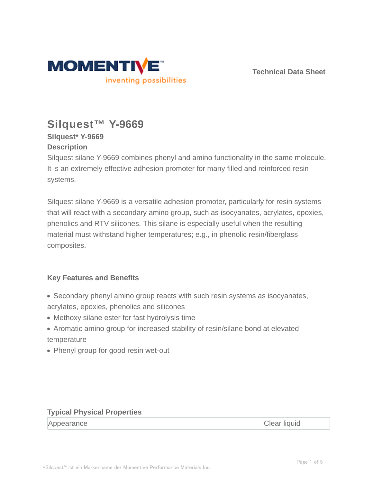

**Technical Data Sheet**

# **Silquest™ Y-9669**

# **Silquest\* Y-9669**

### **Description**

Silquest silane Y-9669 combines phenyl and amino functionality in the same molecule. It is an extremely effective adhesion promoter for many filled and reinforced resin systems.

Silquest silane Y-9669 is a versatile adhesion promoter, particularly for resin systems that will react with a secondary amino group, such as isocyanates, acrylates, epoxies, phenolics and RTV silicones. This silane is especially useful when the resulting material must withstand higher temperatures; e.g., in phenolic resin/fiberglass composites.

# **Key Features and Benefits**

- Secondary phenyl amino group reacts with such resin systems as isocyanates, acrylates, epoxies, phenolics and silicones
- Methoxy silane ester for fast hydrolysis time
- Aromatic amino group for increased stability of resin/silane bond at elevated temperature
- Phenyl group for good resin wet-out

### **Typical Physical Properties**

| Appearance | <b>Clear liquid</b> |
|------------|---------------------|
|------------|---------------------|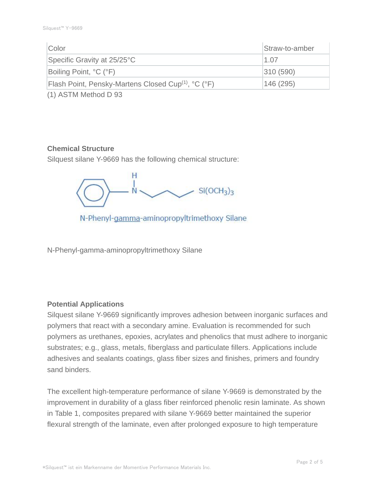| Straw-to-amber |
|----------------|
| 1.07           |
| 310(590)       |
| 146 (295)      |
|                |

(1) ASTM Method D 93

#### **Chemical Structure**

Silquest silane Y-9669 has the following chemical structure:



N-Phenyl-gamma-aminopropyltrimethoxy Silane

N-Phenyl-gamma-aminopropyltrimethoxy Silane

#### **Potential Applications**

Silquest silane Y-9669 significantly improves adhesion between inorganic surfaces and polymers that react with a secondary amine. Evaluation is recommended for such polymers as urethanes, epoxies, acrylates and phenolics that must adhere to inorganic substrates; e.g., glass, metals, fiberglass and particulate fillers. Applications include adhesives and sealants coatings, glass fiber sizes and finishes, primers and foundry sand binders.

The excellent high-temperature performance of silane Y-9669 is demonstrated by the improvement in durability of a glass fiber reinforced phenolic resin laminate. As shown in Table 1, composites prepared with silane Y-9669 better maintained the superior flexural strength of the laminate, even after prolonged exposure to high temperature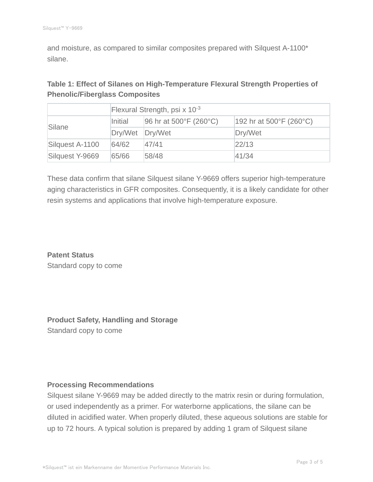and moisture, as compared to similar composites prepared with Silquest A-1100\* silane.

## **Table 1: Effect of Silanes on High-Temperature Flexural Strength Properties of Phenolic/Fiberglass Composites**

|                 | Flexural Strength, psi x $10^{-3}$ |                        |                                              |  |
|-----------------|------------------------------------|------------------------|----------------------------------------------|--|
| Silane          | Initial                            | 96 hr at 500°F (260°C) | 192 hr at $500^{\circ}$ F (260 $^{\circ}$ C) |  |
|                 | Dry/Wet                            | Dry/Wet                | Dry/Wet                                      |  |
| Silquest A-1100 | 64/62                              | 47/41                  | 22/13                                        |  |
| Silquest Y-9669 | 65/66                              | 58/48                  | 41/34                                        |  |

These data confirm that silane Silquest silane Y-9669 offers superior high-temperature aging characteristics in GFR composites. Consequently, it is a likely candidate for other resin systems and applications that involve high-temperature exposure.

**Patent Status** Standard copy to come

**Product Safety, Handling and Storage** Standard copy to come

#### **Processing Recommendations**

Silquest silane Y-9669 may be added directly to the matrix resin or during formulation, or used independently as a primer. For waterborne applications, the silane can be diluted in acidified water. When properly diluted, these aqueous solutions are stable for up to 72 hours. A typical solution is prepared by adding 1 gram of Silquest silane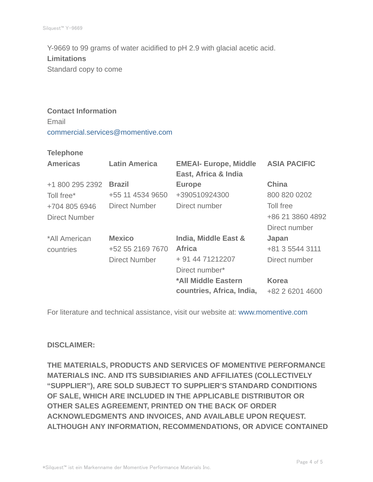Y-9669 to 99 grams of water acidified to pH 2.9 with glacial acetic acid. **Limitations** Standard copy to come

# **Contact Information**

Email commercial.services@momentive.com

#### **Telephone**

| <b>Americas</b>      | <b>Latin America</b> | <b>EMEAI- Europe, Middle</b><br>East, Africa & India | <b>ASIA PACIFIC</b> |
|----------------------|----------------------|------------------------------------------------------|---------------------|
| +1 800 295 2392      | <b>Brazil</b>        | <b>Europe</b>                                        | <b>China</b>        |
| Toll free*           | +55 11 4534 9650     | +390510924300                                        | 800 820 0202        |
| +704 805 6946        | <b>Direct Number</b> | Direct number                                        | Toll free           |
| <b>Direct Number</b> |                      |                                                      | +86 21 3860 4892    |
|                      |                      |                                                      | Direct number       |
| *All American        | <b>Mexico</b>        | <b>India, Middle East &amp;</b>                      | Japan               |
| countries            | +52 55 2169 7670     | <b>Africa</b>                                        | +81 3 5544 3111     |
|                      | <b>Direct Number</b> | + 91 44 71212207                                     | Direct number       |
|                      |                      | Direct number*                                       |                     |
|                      |                      | *All Middle Eastern                                  | <b>Korea</b>        |
|                      |                      | countries, Africa, India,                            | +82 2 6201 4600     |

For literature and technical assistance, visit our website at: www.momentive.com

#### **DISCLAIMER:**

**THE MATERIALS, PRODUCTS AND SERVICES OF MOMENTIVE PERFORMANCE MATERIALS INC. AND ITS SUBSIDIARIES AND AFFILIATES (COLLECTIVELY "SUPPLIER"), ARE SOLD SUBJECT TO SUPPLIER'S STANDARD CONDITIONS OF SALE, WHICH ARE INCLUDED IN THE APPLICABLE DISTRIBUTOR OR OTHER SALES AGREEMENT, PRINTED ON THE BACK OF ORDER ACKNOWLEDGMENTS AND INVOICES, AND AVAILABLE UPON REQUEST. ALTHOUGH ANY INFORMATION, RECOMMENDATIONS, OR ADVICE CONTAINED**